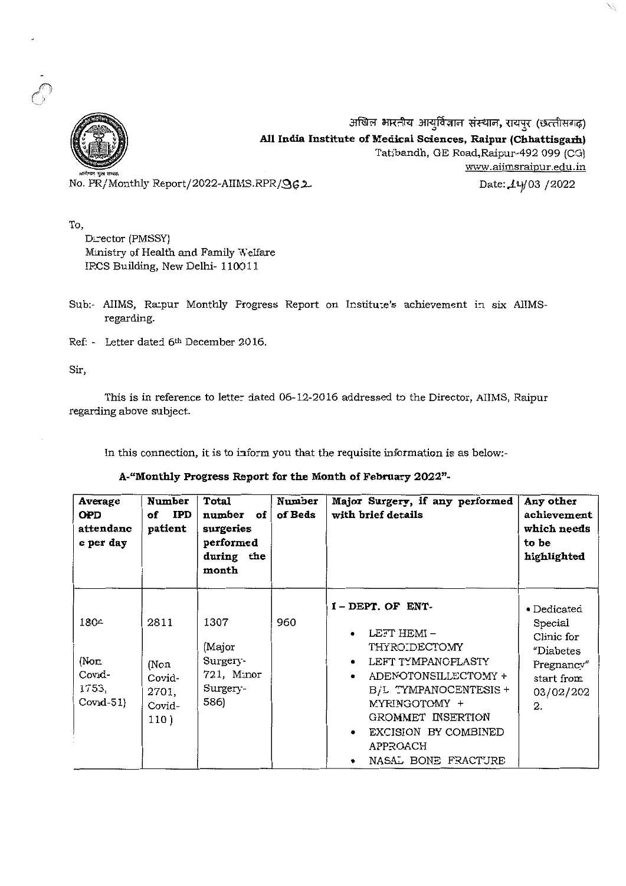

अखिल भारतीय आयुर्विज्ञान संस्थान, रायपुर (छत्तीसगढ़) **All India Institute of Medical Sciences, Raipur (Chhattisgarh)** Tatibandh, GE Road,Raipur-492 099 (CG) www.aiimsraipur.edu.in

No. PR/Monthly Report/2022-AIIMS.RPR/962

Date: 14/03 /2022

To,

Director (PMSSY) Ministry of Health and Family Welfare IP.CS Building, New Delhi- 110011

- Sub:- AIIMS, Ra:pur Monthly Progress Report on Institute's achievement in six AIIMSregarding.
- Ref: Letter dated 6th December 2016.

Sir,

This is in reference to letter dated 06-12-2016 addressed to the Director, AIIMS, Raipur regarding above subject.

In this connection, it is to inform you that the requisite information is as below.-

#### **A-"Monthly Progress Report for the Month of February 2022"·**

| Average<br><b>OPD</b><br>attendanc<br>e per day | Number<br>of IPD<br>patient                       | Total<br>number of<br>surgeries<br>performed<br>during the<br>month | Number<br>of Beds | Major Surgery, if any performed<br>with brief details                                                                                                                                                                       | Any other<br>achievement<br>which needs<br>to be<br>highlighted                                                 |
|-------------------------------------------------|---------------------------------------------------|---------------------------------------------------------------------|-------------------|-----------------------------------------------------------------------------------------------------------------------------------------------------------------------------------------------------------------------------|-----------------------------------------------------------------------------------------------------------------|
| 1804<br>(Non.<br>Covid-<br>1753,<br>$Cov1 - 51$ | 2811<br>(Non<br>Covid-<br>2701,<br>Covid-<br>110) | 1307<br>(Major<br>Surgery-<br>721, Minor<br>Surgery-<br>586)        | 960               | I-DEPT. OF ENT-<br>LEFT HEMI-<br>THYRO DECTOMY<br>LEFT TYMPANCFLASTY<br>ADENOTONSILLECTOMY +<br>B/L TYMPANOCENTESIS +<br>MYRINGOTOMY +<br>GROMMET INSERTION<br>EXCISION BY COMBINED<br>٠<br>APPROACH<br>NASAL BONE FRACTURE | $\bullet$ Dedicated<br>Special<br>Clinic for<br><i>"Diabetes</i><br>Pregnancy"<br>start from<br>03/02/202<br>2. |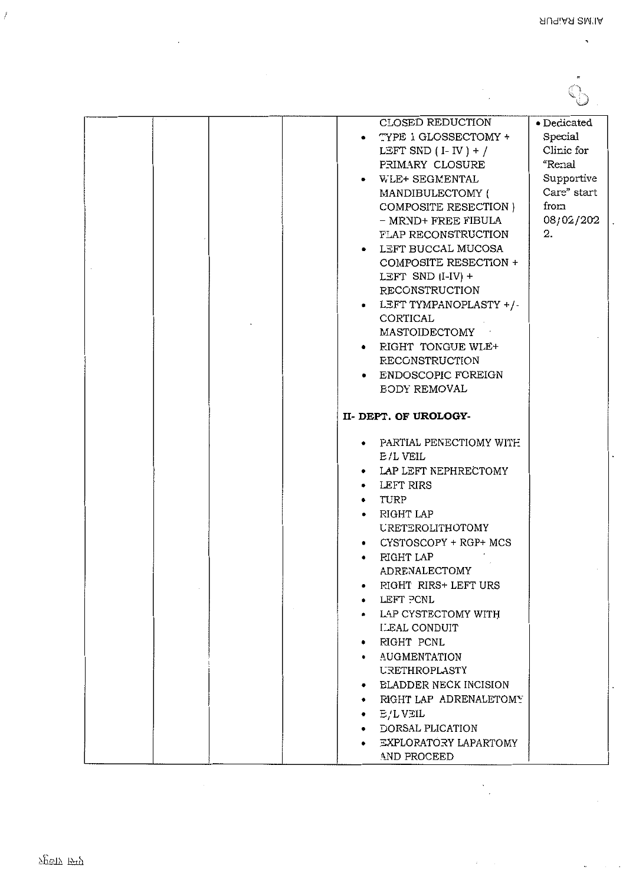$\ddot{\phantom{0}}$ 

 $\overline{a}$ 

 $\ddot{\phantom{0}}$ 

 $\mathcal{S}^{\pm}$  ,  $\mathcal{S}^{\pm}$ 

 $\tilde{\phantom{a}}$  $\mathcal{L}$  $\mathcal{E}$ 

| CLOSED REDUCTION<br>TYPE 1 GLOSSECTOMY +<br>LEFT SND $(I - IV) + /$<br>PRIMARY CLOSURE<br>WLE+ SEGMENTAL<br>MANDIBULECTOMY (<br>COMPOSITE RESECTION )<br>- MRND+ FREE FIBULA<br>FLAP RECONSTRUCTION<br>LEFT BUCCAL MUCOSA<br>COMPOSITE RESECTION +<br>LEFT SND $(I-IV) +$<br><b>RECONSTRUCTION</b><br>LEFT TYMPANOPLASTY +/-<br>CORTICAL<br>MASTOIDECTOMY<br>RIGHT TONGUE WLE+<br><b>RECONSTRUCTION</b><br>ENDOSCOPIC FOREIGN<br><b>BODY REMOVAL</b> | • Dedicated<br>Special<br>Clinic for<br>"Renal<br>Supportive<br>Care" start<br>from<br>08/02/202<br>2. |
|------------------------------------------------------------------------------------------------------------------------------------------------------------------------------------------------------------------------------------------------------------------------------------------------------------------------------------------------------------------------------------------------------------------------------------------------------|--------------------------------------------------------------------------------------------------------|
| II-DEPT. OF UROLOGY-                                                                                                                                                                                                                                                                                                                                                                                                                                 |                                                                                                        |
| PARTIAL PENECTIOMY WITH<br>E/L VEIL<br>LAP LEFT NEPHRECTOMY<br>LEFT RIRS<br>$\bullet$<br>TURP<br>$\bullet$<br>RIGHT LAP<br><b>URETEROLITHOTOMY</b><br>CYSTOSCOPY + RGP+ MCS<br><b>RIGHT LAP</b><br>$\bullet$<br>ADRENALECTOMY<br>RIGHT RIRS+ LEFT URS<br>LEFT PCNL<br>LAP CYSTECTOMY WITH<br><b>LEAL CONDUIT</b><br>RIGHT PCNL<br><b>AUGMENTATION</b><br><b>URETHROPLASTY</b>                                                                        |                                                                                                        |
| <b>ELADDER NECK INCISION</b><br>۰<br>RIGHT LAP ADRENALETOMY<br>$E/L$ VEIL<br>٠<br>DORSAL PLICATION<br>EXPLORATORY LAPARTOMY<br>AND PROCEED                                                                                                                                                                                                                                                                                                           |                                                                                                        |

 $\frac{1}{2}$ 

 $\Delta \sim 10^{11}$  m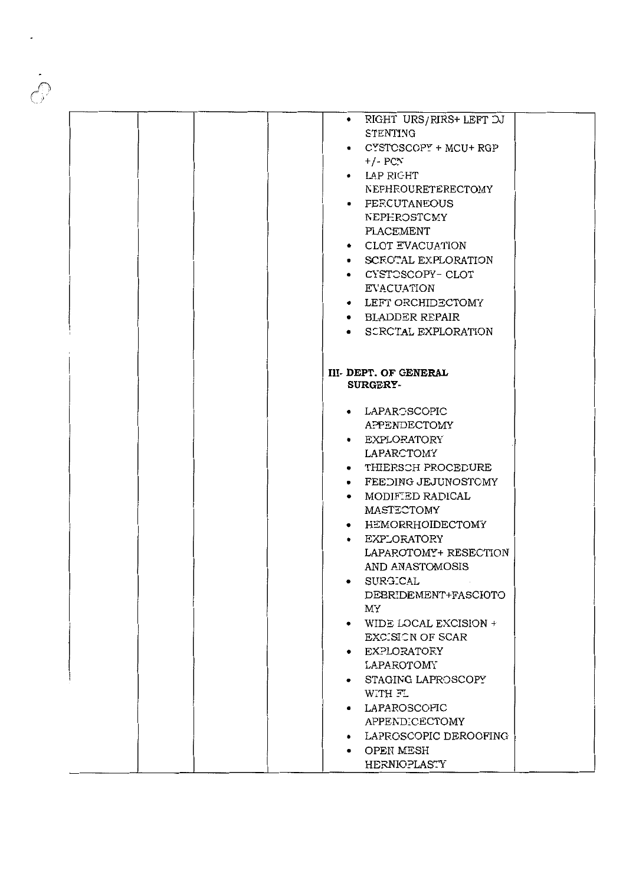| • RIGHT URS/RIRS+ LEFT DJ<br>STENTING<br>$\bullet$ CYSTCSCOPY + MCU+ RGP<br>$+/-$ PCN<br>• LAP RIGHT<br>NEPHROURETERECTOMY<br>• <b>FERCUTANEOUS</b><br>NEPHROSTOMY<br>PLACEMENT<br>• CLOT EVACUATION<br>• SCEOTAL EXPLORATION<br>• CYSTOSCOPY-CLOT<br>EVACUATION<br>• LEFT ORCHIDECTOMY<br>• BLADDER REPAIR<br>• SCRCTAL EXPLORATION<br><b>III-DEPT. OF GENERAL</b><br><b>SURGERY-</b><br>• LAPAROSCOPIC<br>APPENDECTOMY<br>• EXPLORATORY<br>LAPARCTOMY<br>• THIERSCH PROCEDURE<br>• FEEDING JEJUNOSTOMY<br>$\bullet$ MODIFIED RADICAL<br>MASTECTOMY<br>• HEMORRHOIDECTOMY<br>• EXPLORATORY<br>LAPAROTOMY+ RESECTION<br>AND ANASTOMOSIS<br><b>SURGICAL</b><br>$\bullet$<br>DEBRIDEMENT+FASCIOTO<br>MY<br>WIDE LOCAL EXCISION +<br>EXCISION OF SCAR<br>• EXPLORATORY<br>LAPAROTOMY<br>STAGING LAPROSCOPY<br>WITH FL<br>• LAPAROSCOPIC<br>APPENDICECTOMY<br>LAPROSCOPIC DEROOFING<br>• OPEN MESH<br><b>HERNIOPLASTY</b> |  |  |  |
|-----------------------------------------------------------------------------------------------------------------------------------------------------------------------------------------------------------------------------------------------------------------------------------------------------------------------------------------------------------------------------------------------------------------------------------------------------------------------------------------------------------------------------------------------------------------------------------------------------------------------------------------------------------------------------------------------------------------------------------------------------------------------------------------------------------------------------------------------------------------------------------------------------------------------|--|--|--|
|                                                                                                                                                                                                                                                                                                                                                                                                                                                                                                                                                                                                                                                                                                                                                                                                                                                                                                                       |  |  |  |
|                                                                                                                                                                                                                                                                                                                                                                                                                                                                                                                                                                                                                                                                                                                                                                                                                                                                                                                       |  |  |  |
|                                                                                                                                                                                                                                                                                                                                                                                                                                                                                                                                                                                                                                                                                                                                                                                                                                                                                                                       |  |  |  |
|                                                                                                                                                                                                                                                                                                                                                                                                                                                                                                                                                                                                                                                                                                                                                                                                                                                                                                                       |  |  |  |
|                                                                                                                                                                                                                                                                                                                                                                                                                                                                                                                                                                                                                                                                                                                                                                                                                                                                                                                       |  |  |  |
|                                                                                                                                                                                                                                                                                                                                                                                                                                                                                                                                                                                                                                                                                                                                                                                                                                                                                                                       |  |  |  |
|                                                                                                                                                                                                                                                                                                                                                                                                                                                                                                                                                                                                                                                                                                                                                                                                                                                                                                                       |  |  |  |
|                                                                                                                                                                                                                                                                                                                                                                                                                                                                                                                                                                                                                                                                                                                                                                                                                                                                                                                       |  |  |  |
|                                                                                                                                                                                                                                                                                                                                                                                                                                                                                                                                                                                                                                                                                                                                                                                                                                                                                                                       |  |  |  |
|                                                                                                                                                                                                                                                                                                                                                                                                                                                                                                                                                                                                                                                                                                                                                                                                                                                                                                                       |  |  |  |
|                                                                                                                                                                                                                                                                                                                                                                                                                                                                                                                                                                                                                                                                                                                                                                                                                                                                                                                       |  |  |  |
|                                                                                                                                                                                                                                                                                                                                                                                                                                                                                                                                                                                                                                                                                                                                                                                                                                                                                                                       |  |  |  |
|                                                                                                                                                                                                                                                                                                                                                                                                                                                                                                                                                                                                                                                                                                                                                                                                                                                                                                                       |  |  |  |
|                                                                                                                                                                                                                                                                                                                                                                                                                                                                                                                                                                                                                                                                                                                                                                                                                                                                                                                       |  |  |  |
|                                                                                                                                                                                                                                                                                                                                                                                                                                                                                                                                                                                                                                                                                                                                                                                                                                                                                                                       |  |  |  |
|                                                                                                                                                                                                                                                                                                                                                                                                                                                                                                                                                                                                                                                                                                                                                                                                                                                                                                                       |  |  |  |
|                                                                                                                                                                                                                                                                                                                                                                                                                                                                                                                                                                                                                                                                                                                                                                                                                                                                                                                       |  |  |  |
|                                                                                                                                                                                                                                                                                                                                                                                                                                                                                                                                                                                                                                                                                                                                                                                                                                                                                                                       |  |  |  |
|                                                                                                                                                                                                                                                                                                                                                                                                                                                                                                                                                                                                                                                                                                                                                                                                                                                                                                                       |  |  |  |
|                                                                                                                                                                                                                                                                                                                                                                                                                                                                                                                                                                                                                                                                                                                                                                                                                                                                                                                       |  |  |  |
|                                                                                                                                                                                                                                                                                                                                                                                                                                                                                                                                                                                                                                                                                                                                                                                                                                                                                                                       |  |  |  |
|                                                                                                                                                                                                                                                                                                                                                                                                                                                                                                                                                                                                                                                                                                                                                                                                                                                                                                                       |  |  |  |
|                                                                                                                                                                                                                                                                                                                                                                                                                                                                                                                                                                                                                                                                                                                                                                                                                                                                                                                       |  |  |  |
|                                                                                                                                                                                                                                                                                                                                                                                                                                                                                                                                                                                                                                                                                                                                                                                                                                                                                                                       |  |  |  |
|                                                                                                                                                                                                                                                                                                                                                                                                                                                                                                                                                                                                                                                                                                                                                                                                                                                                                                                       |  |  |  |
|                                                                                                                                                                                                                                                                                                                                                                                                                                                                                                                                                                                                                                                                                                                                                                                                                                                                                                                       |  |  |  |
|                                                                                                                                                                                                                                                                                                                                                                                                                                                                                                                                                                                                                                                                                                                                                                                                                                                                                                                       |  |  |  |
|                                                                                                                                                                                                                                                                                                                                                                                                                                                                                                                                                                                                                                                                                                                                                                                                                                                                                                                       |  |  |  |
|                                                                                                                                                                                                                                                                                                                                                                                                                                                                                                                                                                                                                                                                                                                                                                                                                                                                                                                       |  |  |  |
|                                                                                                                                                                                                                                                                                                                                                                                                                                                                                                                                                                                                                                                                                                                                                                                                                                                                                                                       |  |  |  |
|                                                                                                                                                                                                                                                                                                                                                                                                                                                                                                                                                                                                                                                                                                                                                                                                                                                                                                                       |  |  |  |
|                                                                                                                                                                                                                                                                                                                                                                                                                                                                                                                                                                                                                                                                                                                                                                                                                                                                                                                       |  |  |  |
|                                                                                                                                                                                                                                                                                                                                                                                                                                                                                                                                                                                                                                                                                                                                                                                                                                                                                                                       |  |  |  |
|                                                                                                                                                                                                                                                                                                                                                                                                                                                                                                                                                                                                                                                                                                                                                                                                                                                                                                                       |  |  |  |
|                                                                                                                                                                                                                                                                                                                                                                                                                                                                                                                                                                                                                                                                                                                                                                                                                                                                                                                       |  |  |  |
|                                                                                                                                                                                                                                                                                                                                                                                                                                                                                                                                                                                                                                                                                                                                                                                                                                                                                                                       |  |  |  |
|                                                                                                                                                                                                                                                                                                                                                                                                                                                                                                                                                                                                                                                                                                                                                                                                                                                                                                                       |  |  |  |
|                                                                                                                                                                                                                                                                                                                                                                                                                                                                                                                                                                                                                                                                                                                                                                                                                                                                                                                       |  |  |  |
|                                                                                                                                                                                                                                                                                                                                                                                                                                                                                                                                                                                                                                                                                                                                                                                                                                                                                                                       |  |  |  |
|                                                                                                                                                                                                                                                                                                                                                                                                                                                                                                                                                                                                                                                                                                                                                                                                                                                                                                                       |  |  |  |
|                                                                                                                                                                                                                                                                                                                                                                                                                                                                                                                                                                                                                                                                                                                                                                                                                                                                                                                       |  |  |  |
|                                                                                                                                                                                                                                                                                                                                                                                                                                                                                                                                                                                                                                                                                                                                                                                                                                                                                                                       |  |  |  |
|                                                                                                                                                                                                                                                                                                                                                                                                                                                                                                                                                                                                                                                                                                                                                                                                                                                                                                                       |  |  |  |
|                                                                                                                                                                                                                                                                                                                                                                                                                                                                                                                                                                                                                                                                                                                                                                                                                                                                                                                       |  |  |  |
|                                                                                                                                                                                                                                                                                                                                                                                                                                                                                                                                                                                                                                                                                                                                                                                                                                                                                                                       |  |  |  |
|                                                                                                                                                                                                                                                                                                                                                                                                                                                                                                                                                                                                                                                                                                                                                                                                                                                                                                                       |  |  |  |
|                                                                                                                                                                                                                                                                                                                                                                                                                                                                                                                                                                                                                                                                                                                                                                                                                                                                                                                       |  |  |  |
|                                                                                                                                                                                                                                                                                                                                                                                                                                                                                                                                                                                                                                                                                                                                                                                                                                                                                                                       |  |  |  |
|                                                                                                                                                                                                                                                                                                                                                                                                                                                                                                                                                                                                                                                                                                                                                                                                                                                                                                                       |  |  |  |
|                                                                                                                                                                                                                                                                                                                                                                                                                                                                                                                                                                                                                                                                                                                                                                                                                                                                                                                       |  |  |  |
|                                                                                                                                                                                                                                                                                                                                                                                                                                                                                                                                                                                                                                                                                                                                                                                                                                                                                                                       |  |  |  |
|                                                                                                                                                                                                                                                                                                                                                                                                                                                                                                                                                                                                                                                                                                                                                                                                                                                                                                                       |  |  |  |
|                                                                                                                                                                                                                                                                                                                                                                                                                                                                                                                                                                                                                                                                                                                                                                                                                                                                                                                       |  |  |  |
|                                                                                                                                                                                                                                                                                                                                                                                                                                                                                                                                                                                                                                                                                                                                                                                                                                                                                                                       |  |  |  |
|                                                                                                                                                                                                                                                                                                                                                                                                                                                                                                                                                                                                                                                                                                                                                                                                                                                                                                                       |  |  |  |
|                                                                                                                                                                                                                                                                                                                                                                                                                                                                                                                                                                                                                                                                                                                                                                                                                                                                                                                       |  |  |  |
|                                                                                                                                                                                                                                                                                                                                                                                                                                                                                                                                                                                                                                                                                                                                                                                                                                                                                                                       |  |  |  |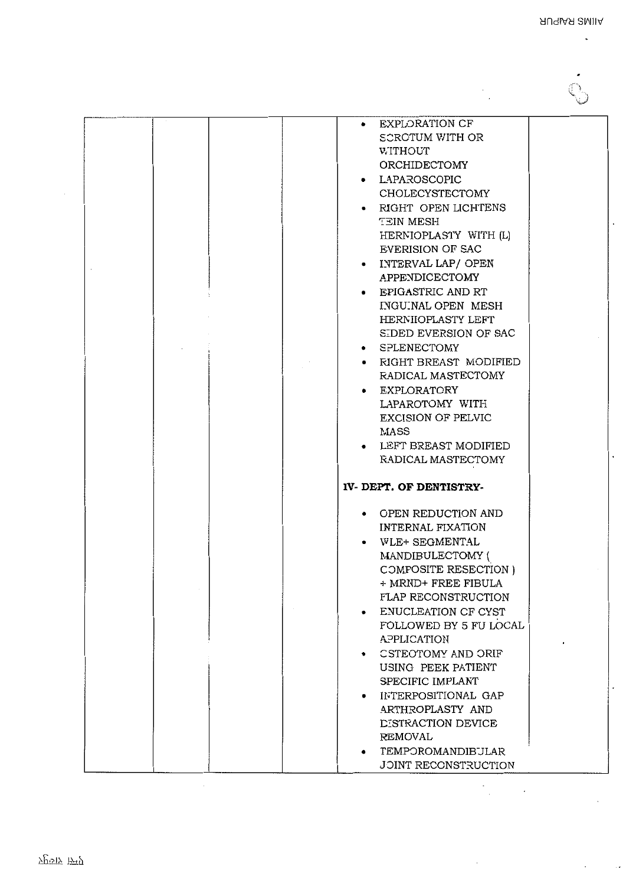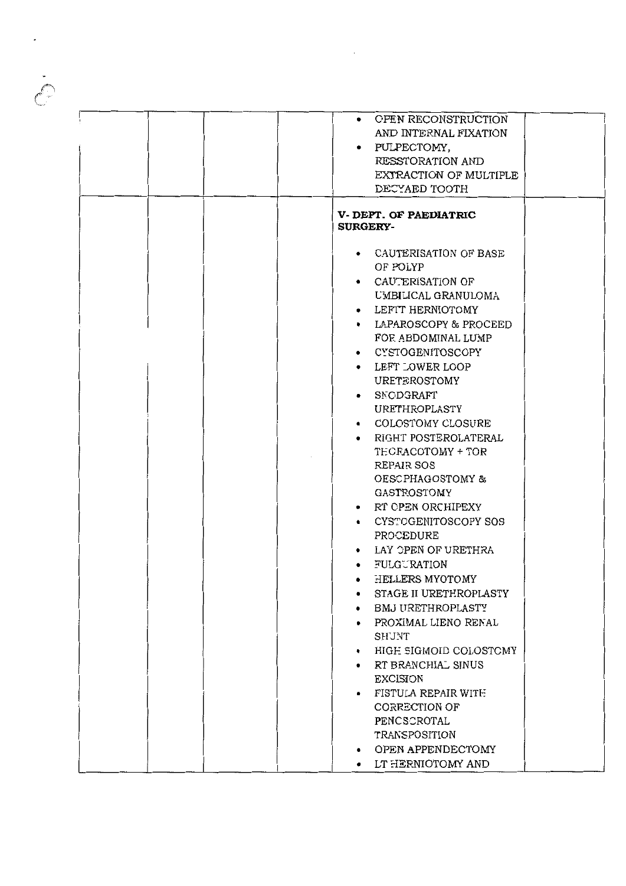| • OPEN RECONSTRUCTION<br>AND INTERNAL FIXATION<br>• PULPECTOMY,<br>RESSTORATION AND<br>EXTRACTION OF MULTIPLE<br>DECYAED TOOTH                                                           |
|------------------------------------------------------------------------------------------------------------------------------------------------------------------------------------------|
| <b>V. DEPT. OF PAEDIATRIC</b><br><b>SURGERY-</b>                                                                                                                                         |
| • CAUTERISATION OF BASE<br>OF POLYP<br>• CAUTERISATION OF<br>UMBILICAL GRANULOMA<br>LEFTT HERNIOTOMY<br>$\bullet$<br>• LAPAROSCOPY & PROCEED<br>FOR ABDOMINAL LUMP<br>• CYSTOGENITOSCOPY |
| LEFT LOWER LOOP<br>URETEROSTOMY<br>SNODGRAFT<br>URETHROPLASTY                                                                                                                            |
| • COLOSTOMY CLOSURE<br>RIGHT POSTEROLATERAL<br>$\bullet$<br>TECRACOTOMY + TOR<br>REPAIR SOS<br>OESCPHAGOSTOMY &                                                                          |
| GASTROSTOMY<br>• RT CPEN ORCHIPEXY<br>• CYSTOGENITOSCOPY SOS<br>PROCEDURE                                                                                                                |
| LAY OPEN OF URETHRA<br>FULGURATION<br>HELLERS MYOTOMY<br>STAGE II URETHROPLASTY<br>BMJ URETHROPLASTY                                                                                     |
| PROXIMAL LIENO RENAL<br>SHUNT<br>HIGE SIGMOID COLOSTOMY<br>٠<br>RT BRANCHIAL SINUS                                                                                                       |
| <b>EXCISION</b><br>FISTULA REPAIR WITH<br>CORRECTION OF<br>PENCSCROTAL<br>TRANSPOSITION                                                                                                  |
| OPEN APPENDECTOMY<br>• LT HERNIOTOMY AND                                                                                                                                                 |

 $\label{eq:2} \frac{1}{2} \sum_{i=1}^n \frac{1}{2} \sum_{j=1}^n \frac{1}{2} \sum_{j=1}^n \frac{1}{2} \sum_{j=1}^n \frac{1}{2} \sum_{j=1}^n \frac{1}{2} \sum_{j=1}^n \frac{1}{2} \sum_{j=1}^n \frac{1}{2} \sum_{j=1}^n \frac{1}{2} \sum_{j=1}^n \frac{1}{2} \sum_{j=1}^n \frac{1}{2} \sum_{j=1}^n \frac{1}{2} \sum_{j=1}^n \frac{1}{2} \sum_{j=1}^n \frac{1}{$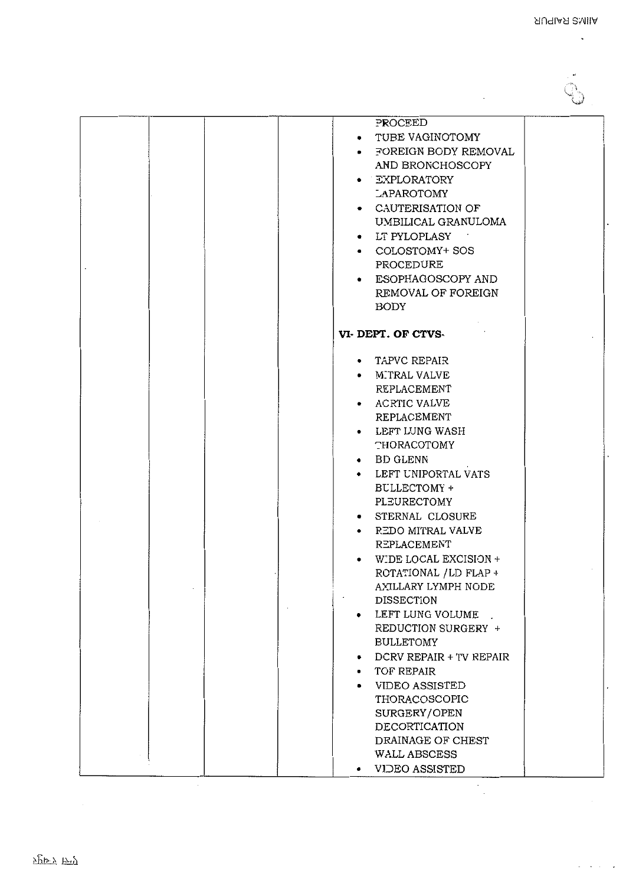$\overline{a}$ 

| PROCEED                                                                                                                                                                                                                                                                                                                                                                                                                                                                                                                                                                                                   |  |
|-----------------------------------------------------------------------------------------------------------------------------------------------------------------------------------------------------------------------------------------------------------------------------------------------------------------------------------------------------------------------------------------------------------------------------------------------------------------------------------------------------------------------------------------------------------------------------------------------------------|--|
| • TUBE VAGINOTOMY<br>• FOREIGN BODY REMOVAL<br>AND BRONCHOSCOPY<br>· EXPLORATORY<br>LAPAROTOMY<br>• CAUTERISATION OF<br>UMBILICAL GRANULOMA<br>• LT PYLOPLASY<br>• COLOSTOMY+ SOS<br>PROCEDURE<br>• ESOPHAGOSCOPY AND<br>REMOVAL OF FOREIGN<br><b>BODY</b>                                                                                                                                                                                                                                                                                                                                                |  |
| VI-DEPT. OF CTVS-                                                                                                                                                                                                                                                                                                                                                                                                                                                                                                                                                                                         |  |
| • TAPVC REPAIR<br>• MITRAL VALVE<br>REPLACEMENT<br>• ACRTIC VALVE<br>REPLACEMENT<br>• LEFT LUNG WASH<br><b>THORACOTOMY</b><br>• BD GLENN<br>• LEFT UNIPORTAL VATS<br>BULLECTOMY +<br>PLEURECTOMY<br>• STERNAL CLOSURE<br>• REDO MITRAL VALVE<br>REPLACEMENT<br>• WIDE LOCAL EXCISION +<br>ROTATIONAL / LD FLAP +<br>AXILLARY LYMPH NODE<br><b>DISSECTION</b><br>LEFT LUNG VOLUME<br>٠<br>REDUCTION SURGERY +<br><b>BULLETOMY</b><br>DCRV REPAIR + TV REPAIR<br>٠<br>TOF REPAIR<br>$\bullet$<br>VIDEO ASSISTED<br>٠<br>THORACOSCOPIC<br>SURGERY/OPEN<br>DECORTICATION<br>DRAINAGE OF CHEST<br>WALL ABSCESS |  |

 $\cdot$  $\ddot{\phantom{a}}$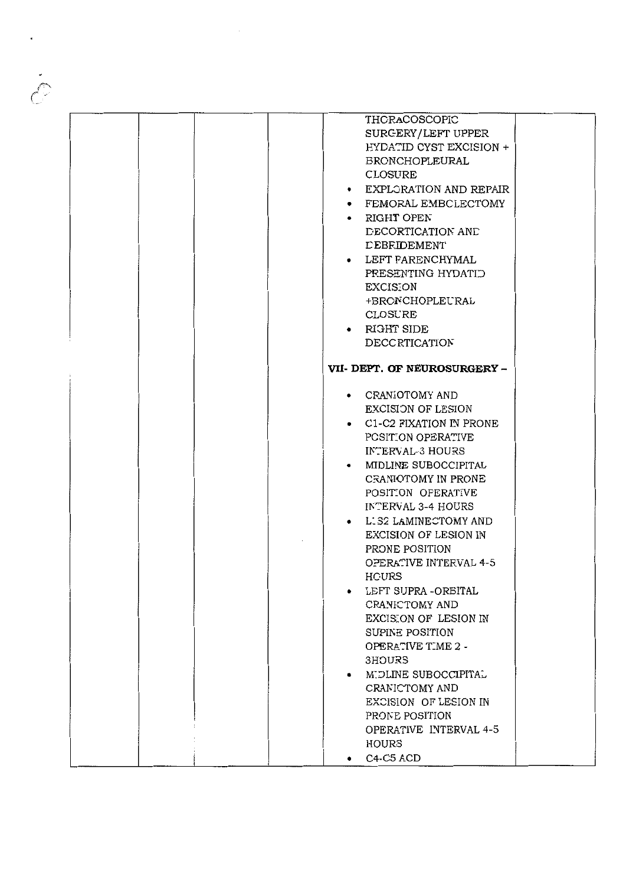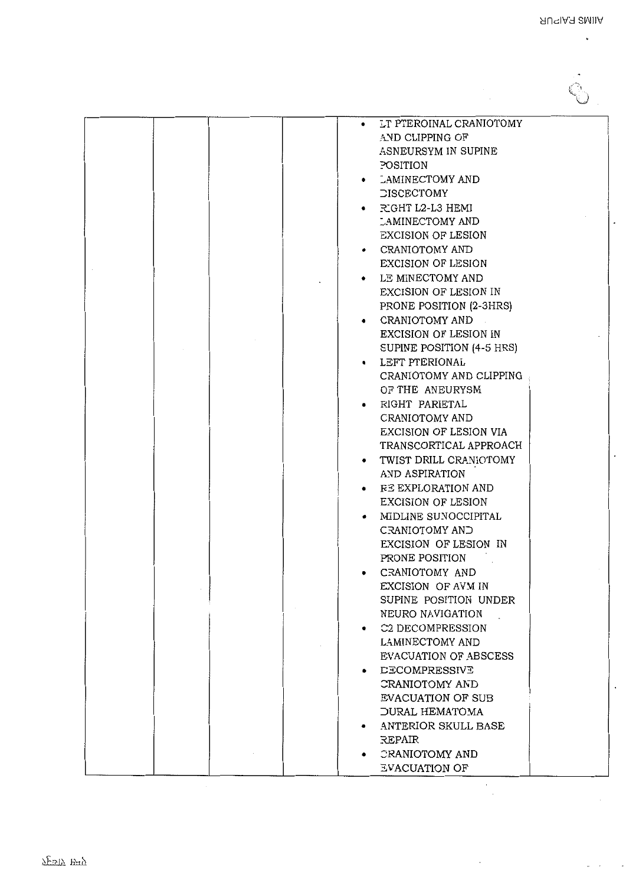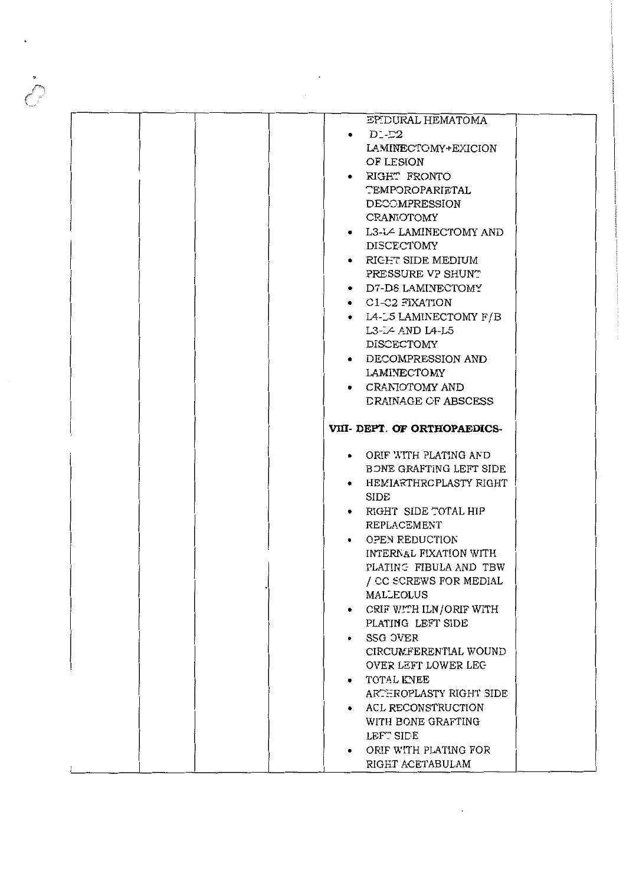|  | EPIDURAL HEMATOMA            |  |
|--|------------------------------|--|
|  | $\bullet$ D1-D2              |  |
|  | LAMINECTOMY+EXICION          |  |
|  | OF LESION                    |  |
|  | • RIGHT FRONTO               |  |
|  | <b>TEMPOROPARIETAL</b>       |  |
|  | DECOMPRESSION                |  |
|  | CRANIOTOMY                   |  |
|  |                              |  |
|  | • L3-L4 LAMINECTOMY AND      |  |
|  | DISCECTOMY                   |  |
|  | • RIGHT SIDE MEDIUM          |  |
|  | PRESSURE VP SHUNT            |  |
|  | • D7-D8 LAMINECTOMY          |  |
|  | • C1-C2 FIXATION             |  |
|  | • L4-L5 LAMINECTOMY F/B      |  |
|  | L3-L4 AND L4-L5              |  |
|  | DISCECTOMY                   |  |
|  | • DECOMPRESSION AND          |  |
|  | LAMINECTOMY                  |  |
|  | • CRANIOTOMY AND             |  |
|  | DRAINAGE CF ABSCESS          |  |
|  |                              |  |
|  | VIII- DEPT. OF ORTHOPAEDICS- |  |
|  |                              |  |
|  | • ORIF WITH PLATING AND      |  |
|  | BONE GRAFTING LEFT SIDE      |  |
|  | • HEMIARTHRCPLASTY RIGHT     |  |
|  | <b>SIDE</b>                  |  |
|  | • RIGHT SIDE TOTAL HIP       |  |
|  |                              |  |
|  |                              |  |
|  | REPLACEMENT                  |  |
|  | • OPEN REDUCTION             |  |
|  | INTERNAL FIXATION WITH       |  |
|  | PLATING FIBULA AND TBW       |  |
|  | / CC SCREWS FOR MEDIAL       |  |
|  | <b>MALLEOLUS</b>             |  |
|  | • CRIF WITH ILN/ORIF WITH    |  |
|  | PLATING LEFT SIDE            |  |
|  | SSG OVER<br>$\bullet$        |  |
|  | CIRCUMFERENTIAL WOUND        |  |
|  | OVER LEFT LOWER LEG          |  |
|  | • TOTAL KNEE                 |  |
|  | ARTEROPLASTY RIGHT SIDE      |  |
|  | • ACL RECONSTRUCTION         |  |
|  | WITH BONE GRAFTING           |  |
|  | LEFT SIDE                    |  |
|  | ORIF WITH PLATING FOR<br>٠   |  |
|  | RIGHT ACETABULAM             |  |

 $\left\langle \right\rangle$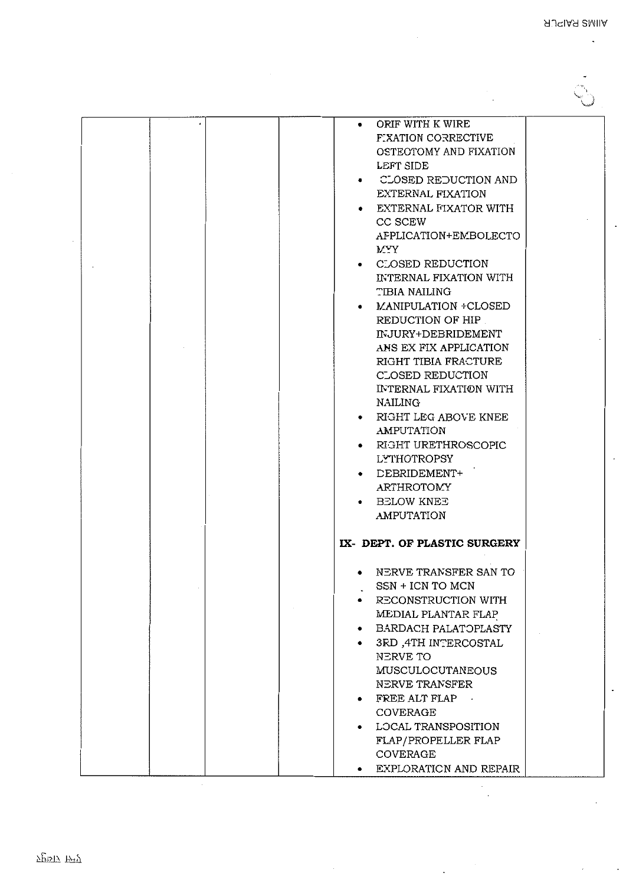|  | ORIF WITH K WIRE<br>$\bullet$<br><b>FIXATION CORRECTIVE</b><br>OSTEOTOMY AND FIXATION<br>LEFT SIDE<br>CLOSED REDUCTION AND<br>٠<br>EXTERNAL FIXATION<br>EXTERNAL FIXATOR WITH<br>CC SCEW<br>AFPLICATION+EMBOLECTO<br><b>MYY</b><br>• CLOSED REDUCTION<br>INTERNAL FIXATION WITH<br>TIBIA NAILING<br>• MANIPULATION +CLOSED<br>REDUCTION OF HIP<br>INJURY+DEBRIDEMENT<br>ANS EX FIX APPLICATION<br>RIGHT TIBIA FRACTURE<br>CLOSED REDUCTION<br>INTERNAL FIXATION WITH<br><b>NAILING</b><br>• RIGHT LEG ABOVE KNEE<br><b>AMPUTATION</b><br>RIGHT URETHROSCOPIC<br>LYTHOTROPSY<br>DEBRIDEMENT+<br><b>ARTHROTOMY</b><br>• BELOW KNEE |  |
|--|----------------------------------------------------------------------------------------------------------------------------------------------------------------------------------------------------------------------------------------------------------------------------------------------------------------------------------------------------------------------------------------------------------------------------------------------------------------------------------------------------------------------------------------------------------------------------------------------------------------------------------|--|
|  | <b>AMPUTATION</b><br>IX- DEPT. OF PLASTIC SURGERY<br>NERVE TRANSFER SAN TO<br>٠<br>SSN + ICN TO MCN<br>RECONSTRUCTION WITH<br>MEDIAL PLANTAR FLAP<br>BARDACH PALATOPLASTY<br>3RD ,4TH INTERCOSTAL<br>NERVE TO<br><b>MUSCULOCUTANEOUS</b><br>NERVE TRANSFER<br>FREE ALT FLAP<br>$\bullet$<br>COVERAGE<br>LOCAL TRANSPOSITION<br>FLAP/PROPELLER FLAP<br>COVERAGE<br>EXPLORATION AND REPAIR                                                                                                                                                                                                                                         |  |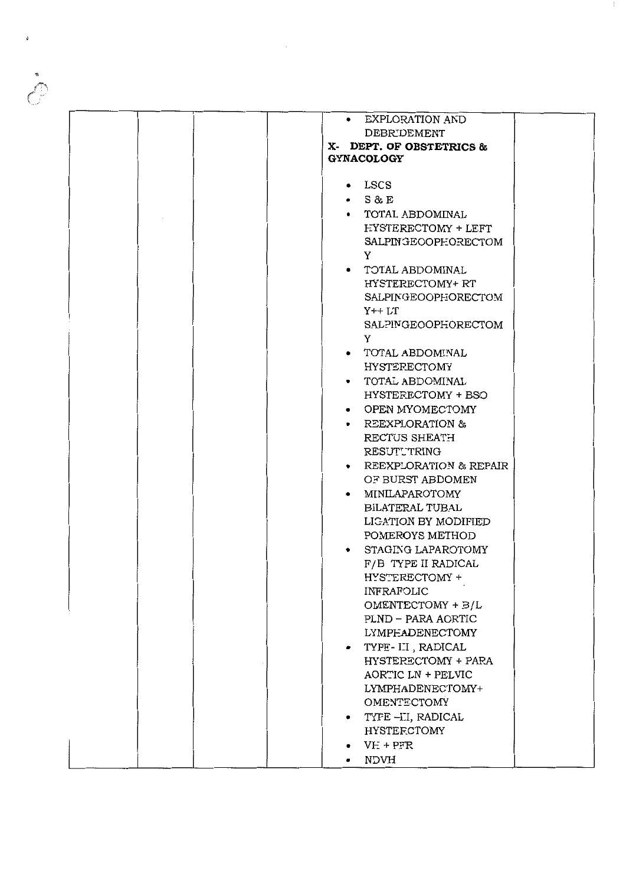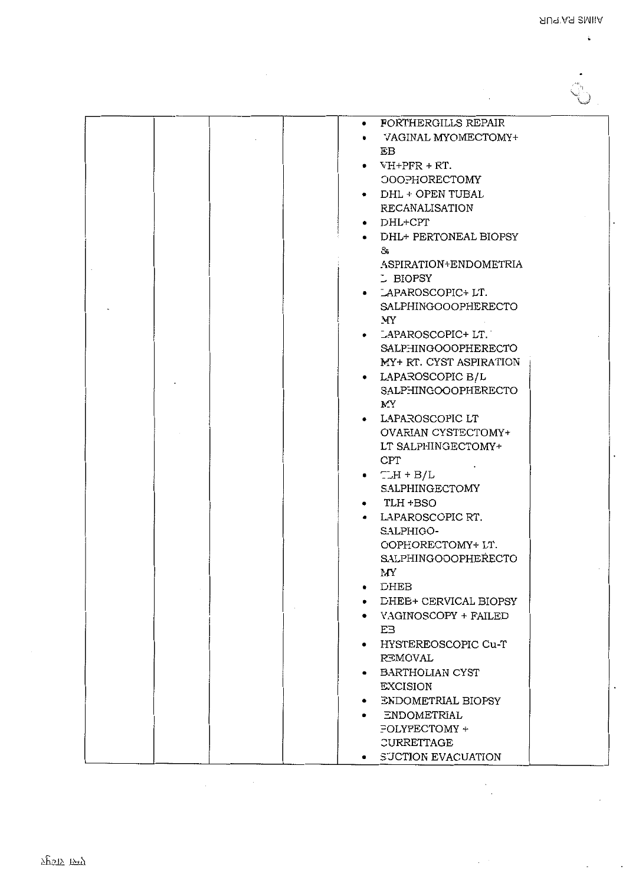G

į.

| FORTHERGILLS REPAIR<br>٠                  |
|-------------------------------------------|
| VAGINAL MYOMECTOMY+<br>$\bullet$          |
| ΕB                                        |
| $\bullet$ VH+PFR + RT.                    |
| <b>OOOPHORECTOMY</b>                      |
| • DHL + OPEN TUBAL                        |
| <b>RECANALISATION</b>                     |
| $\bullet$ DHL+CPT                         |
| • DHL+ PERTONEAL BIOPSY                   |
| రీక                                       |
| ASPIRATION+ENDOMETRIA                     |
| L BIOPSY                                  |
| • LAPAROSCOPIC+LT.                        |
| <b>SALPHINGOOOPHERECTO</b>                |
| МY                                        |
| • LAPAROSCOPIC+LT.                        |
| SALPHINGOOOPHERECTO                       |
| MY+ RT. CYST ASPIRATION                   |
| • LAPAROSCOPIC B/L                        |
| SALPHINGOOOPHERECTO                       |
| MY.                                       |
| • LAPAROSCOPIC LT                         |
| OVARIAN CYSTECTOMY+                       |
| LT SALPHINGECTOMY+                        |
| CPT                                       |
| $\bullet$ $\Box H + B/L$                  |
| SALPHINGECTOMY                            |
| $\bullet$ TLH $\text{+BSO}$               |
| • LAPAROSCOPIC RT.                        |
| SALPHIGO-                                 |
| COPHORECTOMY+ LT.                         |
| <b>SALPHINGOOOPHERECTO</b>                |
| MY                                        |
| DHEB<br>٠                                 |
| <b>DHEE+ CERVICAL BIOPSY</b><br>$\bullet$ |
| • VAGINOSCOPY + FAILED                    |
| EЗ                                        |
| HYSTEREOSCOPIC Cu-T<br>$\bullet$          |
| REMOVAL                                   |
| BARTHOLIAN CYST<br>٠                      |
| <b>EXCISION</b>                           |
| ENDOMETRIAL BIOPSY<br>$\bullet$           |
| • ENDOMETRIAL                             |
| FOLYPECTOMY +                             |
| CURRETTAGE                                |
| • SUCTION EVACUATION                      |

7पृष्ठाऽ स्म्पृ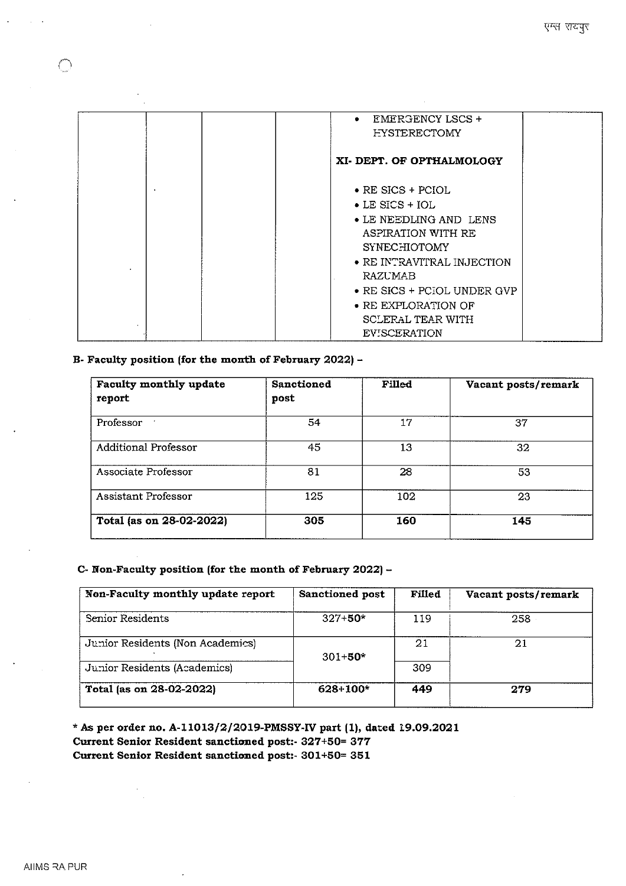|   | <b>EMERGENCY LSCS +</b><br>$\bullet$<br><b>FYSTERECTOMY</b>                                            |
|---|--------------------------------------------------------------------------------------------------------|
|   | XI-DEPT. OF OPTHALMOLOGY                                                                               |
|   | $\bullet$ RE SICS + PCIOL<br>$\bullet$ LE SICS + IOL<br>• LE NEEDLING AND LENS                         |
| ٠ | ASPIRATION WITH RE<br><b>SYNECHIOTOMY</b><br>$\bullet$ RE INTRAVITRAL INJECTION<br>RAZUMAB             |
|   | • RE SICS + PCIOL UNDER GVP<br>$\bullet$ RE EXPLORATION OF<br>SCLERAL TEAR WITH<br><b>EVISCERATION</b> |

# **B- Faculty position (for the month of February 2022) -**

| Faculty monthly update<br>report | Sanctioned<br>post | Filled | Vacant posts/remark |
|----------------------------------|--------------------|--------|---------------------|
| Professor                        | 54                 | 17     | 37                  |
| <b>Additional Professor</b>      | 45                 | 13     | 32                  |
| Associate Professor              | 81                 | 28     | 53                  |
| Assistant Professor              | 125                | 102    | 23                  |
| Total (as on 28-02-2022)         | 305                | 160    | 145                 |

## **C- Non-Faculty position (for the month of February 2022)-**

| Non-Faculty monthly update report | <b>Sanctioned post</b> | Filled | Vacant posts/remark |
|-----------------------------------|------------------------|--------|---------------------|
| Senior Residents                  | $327 + 50*$            | 119    | 258                 |
| Junior Residents (Non Academics)  |                        | -21    | 21                  |
| Junior Residents (Academics)      | $301 + 50*$            | 309    |                     |
| Total (as on 28-02-2022)          | $628 + 100*$           | 449    | 279                 |

\* As per order no. A-11013/2/2019-PMSSY-IV part (1), dated 19.09.2021 **Current Senior Resident sanctioned post:- 327+50= 377 Current Senior Resident sanctioned post:- 301+50= 351**